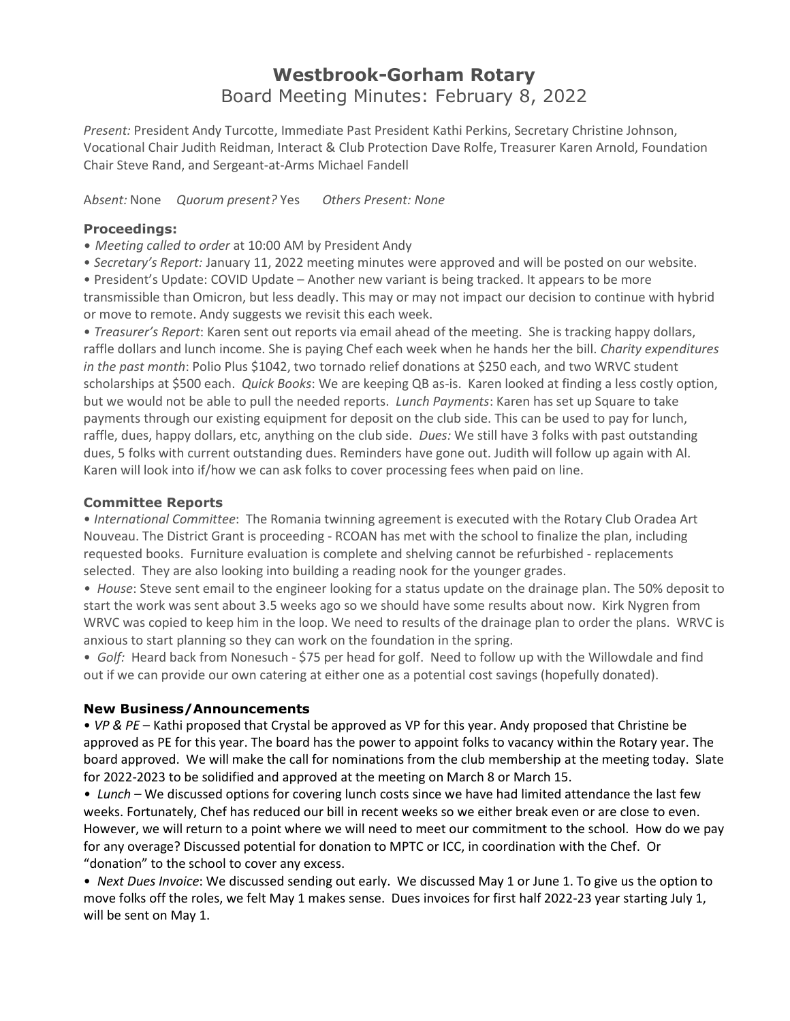## **Westbrook-Gorham Rotary** Board Meeting Minutes: February 8, 2022

*Present:* President Andy Turcotte, Immediate Past President Kathi Perkins, Secretary Christine Johnson, Vocational Chair Judith Reidman, Interact & Club Protection Dave Rolfe, Treasurer Karen Arnold, Foundation Chair Steve Rand, and Sergeant-at-Arms Michael Fandell

A*bsent:* None *Quorum present?* Yes *Others Present: None*

## **Proceedings:**

*• Meeting called to order* at 10:00 AM by President Andy

• *Secretary's Report:* January 11, 2022 meeting minutes were approved and will be posted on our website.

• President's Update: COVID Update – Another new variant is being tracked. It appears to be more transmissible than Omicron, but less deadly. This may or may not impact our decision to continue with hybrid

or move to remote. Andy suggests we revisit this each week.

• *Treasurer's Report*: Karen sent out reports via email ahead of the meeting. She is tracking happy dollars, raffle dollars and lunch income. She is paying Chef each week when he hands her the bill. *Charity expenditures in the past month*: Polio Plus \$1042, two tornado relief donations at \$250 each, and two WRVC student scholarships at \$500 each. *Quick Books*: We are keeping QB as-is. Karen looked at finding a less costly option, but we would not be able to pull the needed reports. *Lunch Payments*: Karen has set up Square to take payments through our existing equipment for deposit on the club side. This can be used to pay for lunch, raffle, dues, happy dollars, etc, anything on the club side. *Dues:* We still have 3 folks with past outstanding dues, 5 folks with current outstanding dues. Reminders have gone out. Judith will follow up again with Al. Karen will look into if/how we can ask folks to cover processing fees when paid on line.

## **Committee Reports**

• *International Committee*: The Romania twinning agreement is executed with the Rotary Club Oradea Art Nouveau. The District Grant is proceeding - RCOAN has met with the school to finalize the plan, including requested books. Furniture evaluation is complete and shelving cannot be refurbished - replacements selected. They are also looking into building a reading nook for the younger grades.

*• House*: Steve sent email to the engineer looking for a status update on the drainage plan. The 50% deposit to start the work was sent about 3.5 weeks ago so we should have some results about now. Kirk Nygren from WRVC was copied to keep him in the loop. We need to results of the drainage plan to order the plans. WRVC is anxious to start planning so they can work on the foundation in the spring.

• *Golf:* Heard back from Nonesuch - \$75 per head for golf. Need to follow up with the Willowdale and find out if we can provide our own catering at either one as a potential cost savings (hopefully donated).

## **New Business/Announcements**

• *VP & PE* – Kathi proposed that Crystal be approved as VP for this year. Andy proposed that Christine be approved as PE for this year. The board has the power to appoint folks to vacancy within the Rotary year. The board approved. We will make the call for nominations from the club membership at the meeting today. Slate for 2022-2023 to be solidified and approved at the meeting on March 8 or March 15.

• *Lunch* – We discussed options for covering lunch costs since we have had limited attendance the last few weeks. Fortunately, Chef has reduced our bill in recent weeks so we either break even or are close to even. However, we will return to a point where we will need to meet our commitment to the school. How do we pay for any overage? Discussed potential for donation to MPTC or ICC, in coordination with the Chef. Or "donation" to the school to cover any excess.

• *Next Dues Invoice*: We discussed sending out early. We discussed May 1 or June 1. To give us the option to move folks off the roles, we felt May 1 makes sense. Dues invoices for first half 2022-23 year starting July 1, will be sent on May 1.